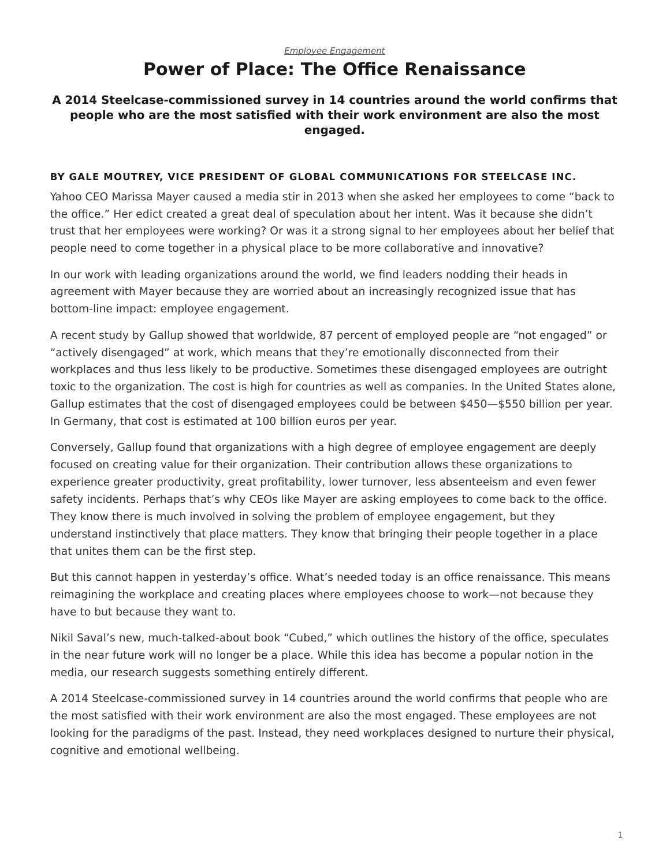#### *[Employee Engagement](https://www.steelcase.com/research/topics/employee-engagement/)* **Power of Place: The Office Renaissance**

#### <span id="page-0-0"></span>**A 2014 Steelcase-commissioned survey in 14 countries around the world confirms that people who are the most satisfied with their work environment are also the most engaged.**

#### **BY GALE MOUTREY, VICE PRESIDENT OF GLOBAL COMMUNICATIONS FOR STEELCASE INC.**

Yahoo CEO Marissa Mayer caused a media stir in 2013 when she asked her employees to come "back to the office." Her edict created a great deal of speculation about her intent. Was it because she didn't trust that her employees were working? Or was it a strong signal to her employees about her belief that people need to come together in a physical place to be more collaborative and innovative?

In our work with leading organizations around the world, we find leaders nodding their heads in agreement with Mayer because they are worried about an increasingly recognized issue that has bottom-line impact: employee engagement.

A recent study by Gallup showed that worldwide, 87 percent of employed people are "not engaged" or "actively disengaged" at work, which means that they're emotionally disconnected from their workplaces and thus less likely to be productive. Sometimes these disengaged employees are outright toxic to the organization. The cost is high for countries as well as companies. In the United States alone, Gallup estimates that the cost of disengaged employees could be between \$450—\$550 billion per year. In Germany, that cost is estimated at 100 billion euros per year.

Conversely, Gallup found that organizations with a high degree of employee engagement are deeply focused on creating value for their organization. Their contribution allows these organizations to experience greater productivity, great profitability, lower turnover, less absenteeism and even fewer safety incidents. Perhaps that's why CEOs like Mayer are asking employees to come back to the office. They know there is much involved in solving the problem of employee engagement, but they understand instinctively that place matters. They know that bringing their people together in a place that unites them can be the first step.

But this cannot happen in yesterday's office. What's needed today is an office renaissance. This means reimagining the workplace and creating places where employees choose to work—not because they have to but because they want to.

Nikil Saval's new, much-talked-about book "Cubed," which outlines the history of the office, speculates in the near future work will no longer be a place. While this idea has become a popular notion in the media, our research suggests something entirely different.

A 2014 Steelcase-commissioned survey in 14 countries around the world confirms that people who are the most satisfied with their work environment are also the most engaged. These employees are not looking for the paradigms of the past. Instead, they need workplaces designed to nurture their physical, cognitive and emotional wellbeing.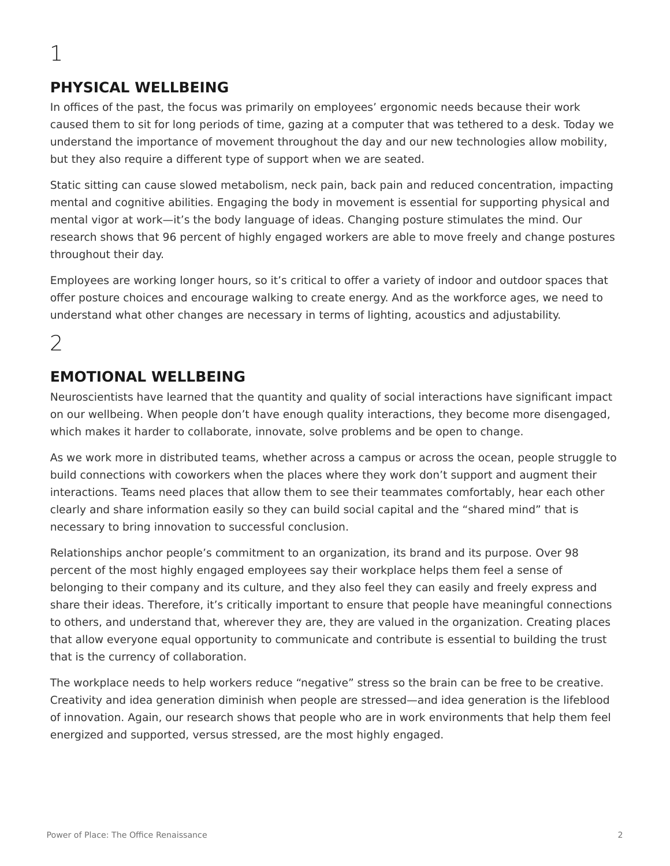### **PHYSICAL WELLBEING**

In offices of the past, the focus was primarily on employees' ergonomic needs because their work caused them to sit for long periods of time, gazing at a computer that was tethered to a desk. Today we understand the importance of movement throughout the day and our new technologies allow mobility, but they also require a different type of support when we are seated.

Static sitting can cause slowed metabolism, neck pain, back pain and reduced concentration, impacting mental and cognitive abilities. Engaging the body in movement is essential for supporting physical and mental vigor at work—it's the body language of ideas. Changing posture stimulates the mind. Our research shows that 96 percent of highly engaged workers are able to move freely and change postures throughout their day.

Employees are working longer hours, so it's critical to offer a variety of indoor and outdoor spaces that offer posture choices and encourage walking to create energy. And as the workforce ages, we need to understand what other changes are necessary in terms of lighting, acoustics and adjustability.

# $\mathcal{P}$

### **EMOTIONAL WELLBEING**

Neuroscientists have learned that the quantity and quality of social interactions have significant impact on our wellbeing. When people don't have enough quality interactions, they become more disengaged, which makes it harder to collaborate, innovate, solve problems and be open to change.

As we work more in distributed teams, whether across a campus or across the ocean, people struggle to build connections with coworkers when the places where they work don't support and augment their interactions. Teams need places that allow them to see their teammates comfortably, hear each other clearly and share information easily so they can build social capital and the "shared mind" that is necessary to bring innovation to successful conclusion.

Relationships anchor people's commitment to an organization, its brand and its purpose. Over 98 percent of the most highly engaged employees say their workplace helps them feel a sense of belonging to their company and its culture, and they also feel they can easily and freely express and share their ideas. Therefore, it's critically important to ensure that people have meaningful connections to others, and understand that, wherever they are, they are valued in the organization. Creating places that allow everyone equal opportunity to communicate and contribute is essential to building the trust that is the currency of collaboration.

The workplace needs to help workers reduce "negative" stress so the brain can be free to be creative. Creativity and idea generation diminish when people are stressed—and idea generation is the lifeblood of innovation. Again, our research shows that people who are in work environments that help them feel energized and supported, versus stressed, are the most highly engaged.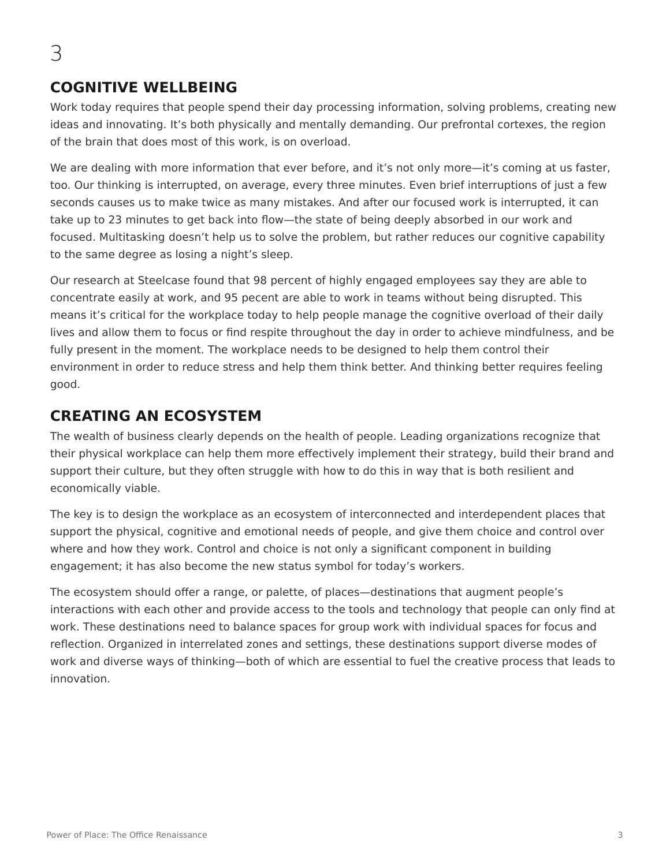## **COGNITIVE WELLBEING**

Work today requires that people spend their day processing information, solving problems, creating new ideas and innovating. It's both physically and mentally demanding. Our prefrontal cortexes, the region of the brain that does most of this work, is on overload.

We are dealing with more information that ever before, and it's not only more-it's coming at us faster, too. Our thinking is interrupted, on average, every three minutes. Even brief interruptions of just a few seconds causes us to make twice as many mistakes. And after our focused work is interrupted, it can take up to 23 minutes to get back into flow—the state of being deeply absorbed in our work and focused. Multitasking doesn't help us to solve the problem, but rather reduces our cognitive capability to the same degree as losing a night's sleep.

Our research at Steelcase found that 98 percent of highly engaged employees say they are able to concentrate easily at work, and 95 pecent are able to work in teams without being disrupted. This means it's critical for the workplace today to help people manage the cognitive overload of their daily lives and allow them to focus or find respite throughout the day in order to achieve mindfulness, and be fully present in the moment. The workplace needs to be designed to help them control their environment in order to reduce stress and help them think better. And thinking better requires feeling good.

## **CREATING AN ECOSYSTEM**

The wealth of business clearly depends on the health of people. Leading organizations recognize that their physical workplace can help them more effectively implement their strategy, build their brand and support their culture, but they often struggle with how to do this in way that is both resilient and economically viable.

The key is to design the workplace as an ecosystem of interconnected and interdependent places that support the physical, cognitive and emotional needs of people, and give them choice and control over where and how they work. Control and choice is not only a significant component in building engagement; it has also become the new status symbol for today's workers.

The ecosystem should offer a range, or palette, of places—destinations that augment people's interactions with each other and provide access to the tools and technology that people can only find at work. These destinations need to balance spaces for group work with individual spaces for focus and reflection. Organized in interrelated zones and settings, these destinations support diverse modes of work and diverse ways of thinking—both of which are essential to fuel the creative process that leads to innovation.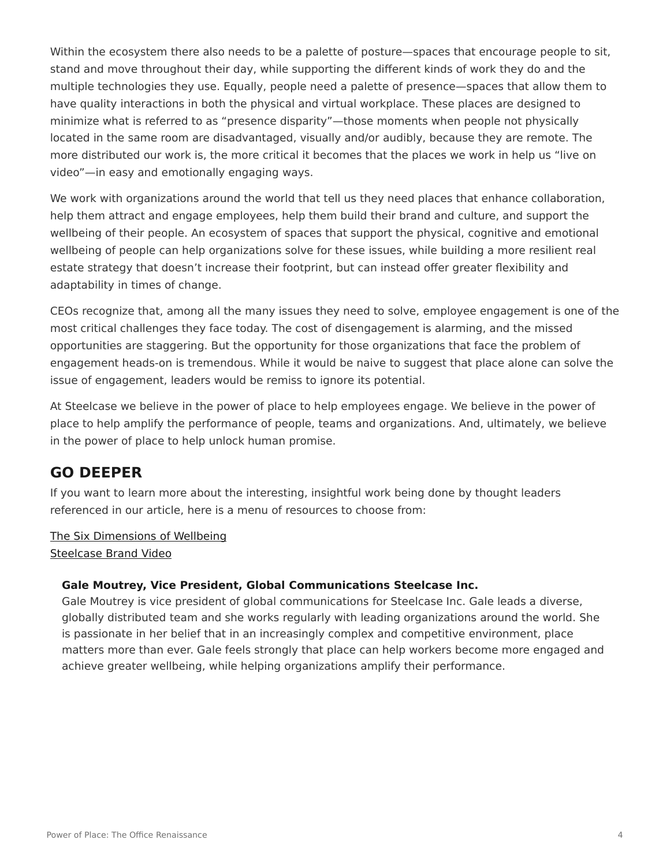Within the ecosystem there also needs to be a palette of posture—spaces that encourage people to sit, stand and move throughout their day, while supporting the different kinds of work they do and the multiple technologies they use. Equally, people need a palette of presence—spaces that allow them to have quality interactions in both the physical and virtual workplace. These places are designed to minimize what is referred to as "presence disparity"—those moments when people not physically located in the same room are disadvantaged, visually and/or audibly, because they are remote. The more distributed our work is, the more critical it becomes that the places we work in help us "live on video"—in easy and emotionally engaging ways.

We work with organizations around the world that tell us they need places that enhance collaboration, help them attract and engage employees, help them build their brand and culture, and support the wellbeing of their people. An ecosystem of spaces that support the physical, cognitive and emotional wellbeing of people can help organizations solve for these issues, while building a more resilient real estate strategy that doesn't increase their footprint, but can instead offer greater flexibility and adaptability in times of change.

CEOs recognize that, among all the many issues they need to solve, employee engagement is one of the most critical challenges they face today. The cost of disengagement is alarming, and the missed opportunities are staggering. But the opportunity for those organizations that face the problem of engagement heads-on is tremendous. While it would be naive to suggest that place alone can solve the issue of engagement, leaders would be remiss to ignore its potential.

At Steelcase we believe in the power of place to help employees engage. We believe in the power of place to help amplify the performance of people, teams and organizations. And, ultimately, we believe in the power of place to help unlock human promise.

### **GO DEEPER**

If you want to learn more about the interesting, insightful work being done by thought leaders referenced in our article, here is a menu of resources to choose from:

[The Six Dimensions of Wellbeing](http://youtu.be/WttK10hp5kM) [Steelcase Brand Video](https://www.youtube.com/watch?v=yyPQP9o-7Tc)

#### **Gale Moutrey, Vice President, Global Communications Steelcase Inc.**

Gale Moutrey is vice president of global communications for Steelcase Inc. Gale leads a diverse, globally distributed team and she works regularly with leading organizations around the world. She is passionate in her belief that in an increasingly complex and competitive environment, place matters more than ever. Gale feels strongly that place can help workers become more engaged and achieve greater wellbeing, while helping organizations amplify their performance.